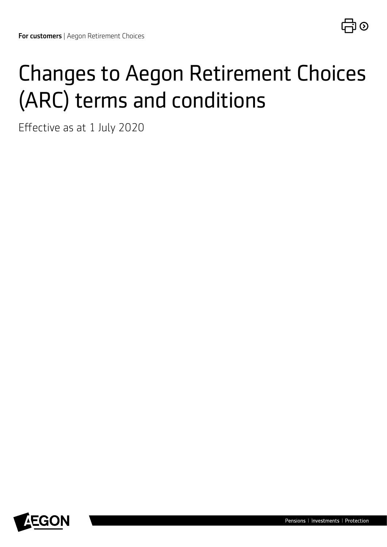# Changes to Aegon Retirement Choices (ARC) terms and conditions

Effective as at 1 July 2020

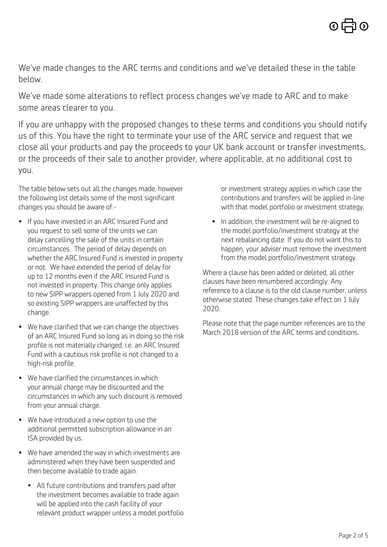We've made changes to the ARC terms and conditions and we've detailed these in the table below.

We've made some alterations to reflect process changes we've made to ARC and to make some areas clearer to you.

If you are unhappy with the proposed changes to these terms and conditions you should notify us of this. You have the right to terminate your use of the ARC service and request that we close all your products and pay the proceeds to your UK bank account or transfer investments, or the proceeds of their sale to another provider, where applicable, at no additional cost to you.

The table below sets out all the changes made, however the following list details some of the most significant changes you should be aware of:-

- If you have invested in an ARC Insured Fund and you request to sell some of the units we can delay cancelling the sale of the units in certain circumstances. The period of delay depends on whether the ARC Insured Fund is invested in property or not. We have extended the period of delay for up to 12 months even if the ARC Insured Fund is not invested in property. This change only applies to new SIPP wrappers opened from 1 July 2020 and so existing SIPP wrappers are unaffected by this change.
- We have clarified that we can change the objectives of an ARC Insured Fund so long as in doing so the risk profile is not materially changed, i.e. an ARC Insured Fund with a cautious risk profile is not changed to a high-risk profile.
- We have clarified the circumstances in which your annual charge may be discounted and the circumstances in which any such discount is removed from your annual charge.
- We have introduced a new option to use the additional permitted subscription allowance in an ISA provided by us.
- We have amended the way in which investments are administered when they have been suspended and then become available to trade again.
	- All future contributions and transfers paid after the investment becomes available to trade again will be applied into the cash facility of your relevant product wrapper unless a model portfolio

or investment strategy applies in which case the contributions and transfers will be applied in-line with that model portfolio or investment strategy.

• In addition, the investment will be re-aligned to the model portfolio/investment strategy at the next rebalancing date. If you do not want this to happen, your adviser must remove the investment from the model portfolio/investment strategy.

Where a clause has been added or deleted, all other clauses have been renumbered accordingly. Any reference to a clause is to the old clause number, unless otherwise stated. These changes take effect on 1 July 2020.

Please note that the page number references are to the March 2018 version of the ARC terms and conditions.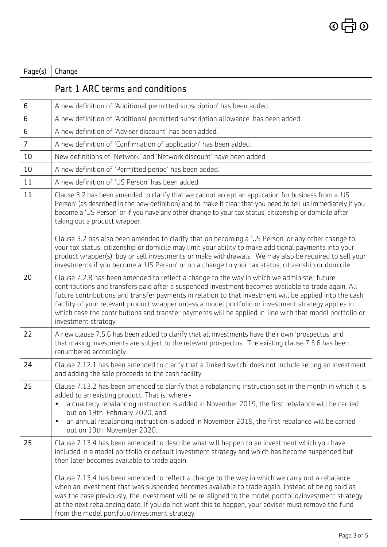## Page(s)  $|$  Change

| Part 1 ARC terms and conditions |
|---------------------------------|
|---------------------------------|

| 6                | A new definition of 'Additional permitted subscription' has been added.                                                                                                                                                                                                                                                                                                                                                                                                                                                                                                                                                                                                                                               |
|------------------|-----------------------------------------------------------------------------------------------------------------------------------------------------------------------------------------------------------------------------------------------------------------------------------------------------------------------------------------------------------------------------------------------------------------------------------------------------------------------------------------------------------------------------------------------------------------------------------------------------------------------------------------------------------------------------------------------------------------------|
| $\boldsymbol{6}$ | A new definition of 'Additional permitted subscription allowance' has been added.                                                                                                                                                                                                                                                                                                                                                                                                                                                                                                                                                                                                                                     |
| 6                | A new definition of 'Adviser discount' has been added.                                                                                                                                                                                                                                                                                                                                                                                                                                                                                                                                                                                                                                                                |
| $\overline{7}$   | A new definition of 'Confirmation of application' has been added.                                                                                                                                                                                                                                                                                                                                                                                                                                                                                                                                                                                                                                                     |
| 10               | New definitions of 'Network' and 'Network discount' have been added.                                                                                                                                                                                                                                                                                                                                                                                                                                                                                                                                                                                                                                                  |
| 10               | A new definition of 'Permitted period' has been added.                                                                                                                                                                                                                                                                                                                                                                                                                                                                                                                                                                                                                                                                |
| 11               | A new definition of 'US Person' has been added.                                                                                                                                                                                                                                                                                                                                                                                                                                                                                                                                                                                                                                                                       |
| 11               | Clause 3.2 has been amended to clarify that we cannot accept an application for business from a 'US<br>Person' (as described in the new definition) and to make it clear that you need to tell us immediately if you<br>become a 'US Person' or if you have any other change to your tax status, citizenship or domicile after<br>taking out a product wrapper.                                                                                                                                                                                                                                                                                                                                                       |
|                  | Clause 3.2 has also been amended to clarify that on becoming a 'US Person' or any other change to<br>your tax status, citizenship or domicile may limit your ability to make additional payments into your<br>product wrapper(s), buy or sell investments or make withdrawals. We may also be required to sell your<br>investments if you become a 'US Person' or on a change to your tax status, citizenship or domicile.                                                                                                                                                                                                                                                                                            |
| 20               | Clause 7.2.8 has been amended to reflect a change to the way in which we administer future<br>contributions and transfers paid after a suspended investment becomes available to trade again. All<br>future contributions and transfer payments in relation to that investment will be applied into the cash<br>facility of your relevant product wrapper unless a model portfolio or investment strategy applies in<br>which case the contributions and transfer payments will be applied in-line with that model portfolio or<br>investment strategy.                                                                                                                                                               |
| 22               | A new clause 7.5.6 has been added to clarify that all investments have their own 'prospectus' and<br>that making investments are subject to the relevant prospectus. The existing clause 7.5.6 has been<br>renumbered accordingly.                                                                                                                                                                                                                                                                                                                                                                                                                                                                                    |
| 24               | Clause 7.12.1 has been amended to clarify that a 'linked switch' does not include selling an investment<br>and adding the sale proceeds to the cash facility.                                                                                                                                                                                                                                                                                                                                                                                                                                                                                                                                                         |
| 25               | Clause 7.13.2 has been amended to clarify that a rebalancing instruction set in the month in which it is<br>added to an existing product. That is, where:-<br>a quarterly rebalancing instruction is added in November 2019, the first rebalance will be carried<br>out on 19th February 2020, and<br>an annual rebalancing instruction is added in November 2019, the first rebalance will be carried<br>$\bullet$<br>out on 19th November 2020.                                                                                                                                                                                                                                                                     |
| 25               | Clause 7.13.4 has been amended to describe what will happen to an investment which you have<br>included in a model portfolio or default investment strategy and which has become suspended but<br>then later becomes available to trade again.<br>Clause 7.13.4 has been amended to reflect a change to the way in which we carry out a rebalance<br>when an investment that was suspended becomes available to trade again. Instead of being sold as<br>was the case previously, the investment will be re-aligned to the model portfolio/investment strategy<br>at the next rebalancing date. If you do not want this to happen, your adviser must remove the fund<br>from the model portfolio/investment strategy. |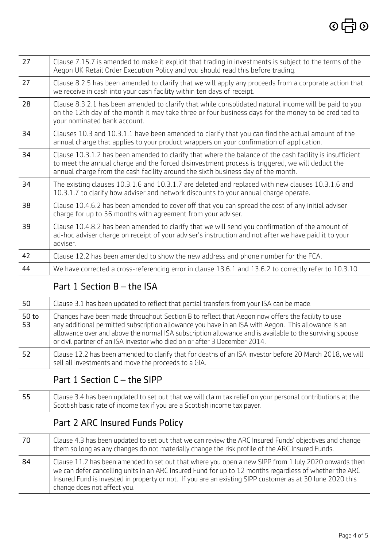| 27 | Clause 7.15.7 is amended to make it explicit that trading in investments is subject to the terms of the<br>Aegon UK Retail Order Execution Policy and you should read this before trading.                                                                                                     |
|----|------------------------------------------------------------------------------------------------------------------------------------------------------------------------------------------------------------------------------------------------------------------------------------------------|
| 27 | Clause 8.2.5 has been amended to clarify that we will apply any proceeds from a corporate action that<br>we receive in cash into your cash facility within ten days of receipt.                                                                                                                |
| 28 | Clause 8.3.2.1 has been amended to clarify that while consolidated natural income will be paid to you<br>on the 12th day of the month it may take three or four business days for the money to be credited to<br>your nominated bank account.                                                  |
| 34 | Clauses 10.3 and 10.3.1.1 have been amended to clarify that you can find the actual amount of the<br>annual charge that applies to your product wrappers on your confirmation of application.                                                                                                  |
| 34 | Clause 10.3.1.2 has been amended to clarify that where the balance of the cash facility is insufficient<br>to meet the annual charge and the forced disinvestment process is triggered, we will deduct the<br>annual charge from the cash facility around the sixth business day of the month. |
| 34 | The existing clauses 10.3.1.6 and 10.3.1.7 are deleted and replaced with new clauses 10.3.1.6 and<br>10.3.1.7 to clarify how adviser and network discounts to your annual charge operate.                                                                                                      |
| 38 | Clause 10.4.6.2 has been amended to cover off that you can spread the cost of any initial adviser<br>charge for up to 36 months with agreement from your adviser.                                                                                                                              |
| 39 | Clause 10.4.8.2 has been amended to clarify that we will send you confirmation of the amount of<br>ad-hoc adviser charge on receipt of your adviser's instruction and not after we have paid it to your<br>adviser.                                                                            |
| 42 | Clause 12.2 has been amended to show the new address and phone number for the FCA.                                                                                                                                                                                                             |
| 44 | We have corrected a cross-referencing error in clause 13.6.1 and 13.6.2 to correctly refer to 10.3.10                                                                                                                                                                                          |
|    |                                                                                                                                                                                                                                                                                                |

#### Part 1 Section B – the ISA

| 50          | Clause 3.1 has been updated to reflect that partial transfers from your ISA can be made.                                                                                                                                                                                                                                                                                                        |
|-------------|-------------------------------------------------------------------------------------------------------------------------------------------------------------------------------------------------------------------------------------------------------------------------------------------------------------------------------------------------------------------------------------------------|
| 50 to<br>53 | Changes have been made throughout Section B to reflect that Aegon now offers the facility to use<br>any additional permitted subscription allowance you have in an ISA with Aegon. This allowance is an<br>allowance over and above the normal ISA subscription allowance and is available to the surviving spouse<br>or civil partner of an ISA investor who died on or after 3 December 2014. |
| -52         | Clause 12.2 has been amended to clarify that for deaths of an ISA investor before 20 March 2018, we will<br>sell all investments and move the proceeds to a GIA.                                                                                                                                                                                                                                |

#### Part 1 Section C – the SIPP

55 Clause 3.4 has been updated to set out that we will claim tax relief on your personal contributions at the Scottish basic rate of income tax if you are a Scottish income tax payer.

#### Part 2 ARC Insured Funds Policy

70 Clause 4.3 has been updated to set out that we can review the ARC Insured Funds' objectives and change them so long as any changes do not materially change the risk profile of the ARC Insured Funds. 84 Clause 11.2 has been amended to set out that where you open a new SIPP from 1 July 2020 onwards then we can defer cancelling units in an ARC Insured Fund for up to 12 months regardless of whether the ARC Insured Fund is invested in property or not. If you are an existing SIPP customer as at 30 June 2020 this change does not affect you.